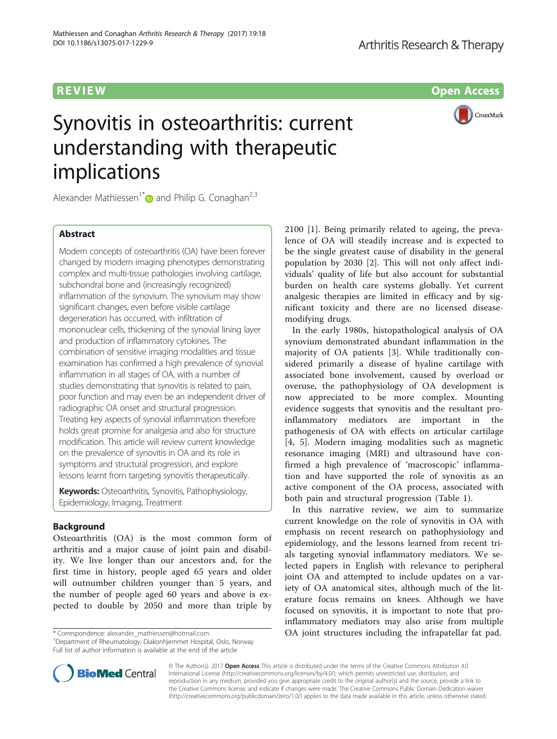# **REVIEW REVIEW CONSTRUCTION**

# Synovitis in osteoarthritis: current understanding with therapeutic implications

CrossMark

Alexander Mathiessen<sup>1[\\*](http://orcid.org/0000-0002-9696-2081)</sup> and Philip G. Conaghan<sup>2,3</sup>

# Abstract

Modern concepts of osteoarthritis (OA) have been forever changed by modern imaging phenotypes demonstrating complex and multi-tissue pathologies involving cartilage, subchondral bone and (increasingly recognized) inflammation of the synovium. The synovium may show significant changes, even before visible cartilage degeneration has occurred, with infiltration of mononuclear cells, thickening of the synovial lining layer and production of inflammatory cytokines. The combination of sensitive imaging modalities and tissue examination has confirmed a high prevalence of synovial inflammation in all stages of OA, with a number of studies demonstrating that synovitis is related to pain, poor function and may even be an independent driver of radiographic OA onset and structural progression. Treating key aspects of synovial inflammation therefore holds great promise for analgesia and also for structure modification. This article will review current knowledge on the prevalence of synovitis in OA and its role in symptoms and structural progression, and explore lessons learnt from targeting synovitis therapeutically.

Keywords: Osteoarthritis, Synovitis, Pathophysiology, Epidemiology, Imaging, Treatment

# Background

Osteoarthritis (OA) is the most common form of arthritis and a major cause of joint pain and disability. We live longer than our ancestors and, for the first time in history, people aged 65 years and older will outnumber children younger than 5 years, and the number of people aged 60 years and above is expected to double by 2050 and more than triple by

\* Correspondence: [alexander\\_mathiessen@hotmail.com](mailto:alexander_mathiessen@hotmail.com) <sup>1</sup>

Department of Rheumatology, Diakonhjemmet Hospital, Oslo, Norway Full list of author information is available at the end of the article



In the early 1980s, histopathological analysis of OA synovium demonstrated abundant inflammation in the majority of OA patients [[3\]](#page-7-0). While traditionally considered primarily a disease of hyaline cartilage with associated bone involvement, caused by overload or overuse, the pathophysiology of OA development is now appreciated to be more complex. Mounting evidence suggests that synovitis and the resultant proinflammatory mediators are important in the pathogenesis of OA with effects on articular cartilage [[4](#page-7-0), [5\]](#page-7-0). Modern imaging modalities such as magnetic resonance imaging (MRI) and ultrasound have confirmed a high prevalence of 'macroscopic' inflammation and have supported the role of synovitis as an active component of the OA process, associated with both pain and structural progression (Table [1](#page-1-0)).

In this narrative review, we aim to summarize current knowledge on the role of synovitis in OA with emphasis on recent research on pathophysiology and epidemiology, and the lessons learned from recent trials targeting synovial inflammatory mediators. We selected papers in English with relevance to peripheral joint OA and attempted to include updates on a variety of OA anatomical sites, although much of the literature focus remains on knees. Although we have focused on synovitis, it is important to note that proinflammatory mediators may also arise from multiple OA joint structures including the infrapatellar fat pad.



© The Author(s). 2017 **Open Access** This article is distributed under the terms of the Creative Commons Attribution 4.0 International License [\(http://creativecommons.org/licenses/by/4.0/](http://creativecommons.org/licenses/by/4.0/)), which permits unrestricted use, distribution, and reproduction in any medium, provided you give appropriate credit to the original author(s) and the source, provide a link to the Creative Commons license, and indicate if changes were made. The Creative Commons Public Domain Dedication waiver [\(http://creativecommons.org/publicdomain/zero/1.0/](http://creativecommons.org/publicdomain/zero/1.0/)) applies to the data made available in this article, unless otherwise stated.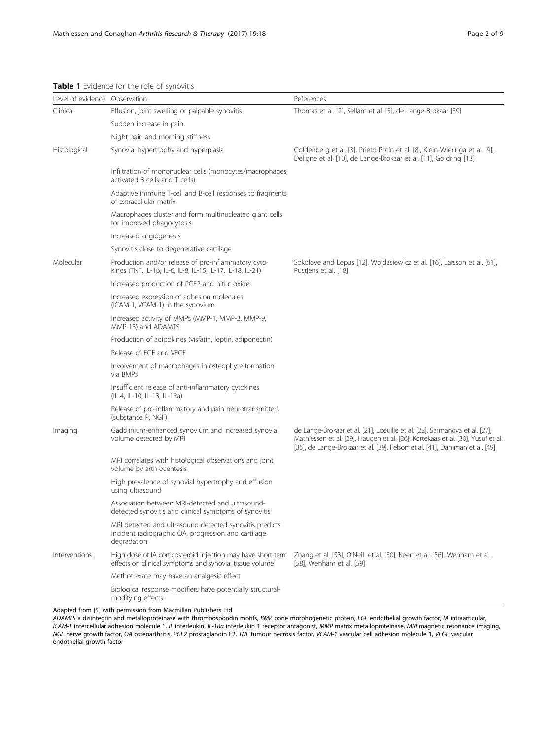<span id="page-1-0"></span>Table 1 Evidence for the role of synovitis

| Level of evidence Observation |                                                                                                                               | References                                                                                                                                                                                                                                  |
|-------------------------------|-------------------------------------------------------------------------------------------------------------------------------|---------------------------------------------------------------------------------------------------------------------------------------------------------------------------------------------------------------------------------------------|
| Clinical                      | Effusion, joint swelling or palpable synovitis                                                                                | Thomas et al. [2], Sellam et al. [5], de Lange-Brokaar [39]                                                                                                                                                                                 |
|                               | Sudden increase in pain                                                                                                       |                                                                                                                                                                                                                                             |
|                               | Night pain and morning stiffness                                                                                              |                                                                                                                                                                                                                                             |
| Histological                  | Synovial hypertrophy and hyperplasia                                                                                          | Goldenberg et al. [3], Prieto-Potin et al. [8], Klein-Wieringa et al. [9],<br>Deligne et al. [10], de Lange-Brokaar et al. [11], Goldring [13]                                                                                              |
|                               | Infiltration of mononuclear cells (monocytes/macrophages,<br>activated B cells and T cells)                                   |                                                                                                                                                                                                                                             |
|                               | Adaptive immune T-cell and B-cell responses to fragments<br>of extracellular matrix                                           |                                                                                                                                                                                                                                             |
|                               | Macrophages cluster and form multinucleated giant cells<br>for improved phagocytosis                                          |                                                                                                                                                                                                                                             |
|                               | Increased angiogenesis                                                                                                        |                                                                                                                                                                                                                                             |
|                               | Synovitis close to degenerative cartilage                                                                                     |                                                                                                                                                                                                                                             |
| Molecular                     | Production and/or release of pro-inflammatory cyto-<br>kines (TNF, IL-1β, IL-6, IL-8, IL-15, IL-17, IL-18, IL-21)             | Sokolove and Lepus [12], Wojdasiewicz et al. [16], Larsson et al. [61],<br>Pustjens et al. [18]                                                                                                                                             |
|                               | Increased production of PGE2 and nitric oxide                                                                                 |                                                                                                                                                                                                                                             |
|                               | Increased expression of adhesion molecules<br>(ICAM-1, VCAM-1) in the synovium                                                |                                                                                                                                                                                                                                             |
|                               | Increased activity of MMPs (MMP-1, MMP-3, MMP-9,<br>MMP-13) and ADAMTS                                                        |                                                                                                                                                                                                                                             |
|                               | Production of adipokines (visfatin, leptin, adiponectin)                                                                      |                                                                                                                                                                                                                                             |
|                               | Release of EGF and VEGF                                                                                                       |                                                                                                                                                                                                                                             |
|                               | Involvement of macrophages in osteophyte formation<br>via BMPs                                                                |                                                                                                                                                                                                                                             |
|                               | Insufficient release of anti-inflammatory cytokines<br>(IL-4, IL-10, IL-13, IL-1Ra)                                           |                                                                                                                                                                                                                                             |
|                               | Release of pro-inflammatory and pain neurotransmitters<br>(substance P, NGF)                                                  |                                                                                                                                                                                                                                             |
| Imaging                       | Gadolinium-enhanced synovium and increased synovial<br>volume detected by MRI                                                 | de Lange-Brokaar et al. [21], Loeuille et al. [22], Sarmanova et al. [27],<br>Mathiessen et al. [29], Haugen et al. [26], Kortekaas et al. [30], Yusuf et al.<br>[35], de Lange-Brokaar et al. [39], Felson et al. [41], Damman et al. [49] |
|                               | MRI correlates with histological observations and joint<br>volume by arthrocentesis                                           |                                                                                                                                                                                                                                             |
|                               | High prevalence of synovial hypertrophy and effusion<br>using ultrasound                                                      |                                                                                                                                                                                                                                             |
|                               | Association between MRI-detected and ultrasound-<br>detected synovitis and clinical symptoms of synovitis                     |                                                                                                                                                                                                                                             |
|                               | MRI-detected and ultrasound-detected synovitis predicts<br>incident radiographic OA, progression and cartilage<br>degradation |                                                                                                                                                                                                                                             |
| Interventions                 | High dose of IA corticosteroid injection may have short-term<br>effects on clinical symptoms and synovial tissue volume       | Zhang et al. [53], O'Neill et al. [50], Keen et al. [56], Wenham et al.<br>[58], Wenham et al. [59]                                                                                                                                         |
|                               | Methotrexate may have an analgesic effect                                                                                     |                                                                                                                                                                                                                                             |
|                               | Biological response modifiers have potentially structural-<br>modifying effects                                               |                                                                                                                                                                                                                                             |

Adapted from [\[5\]](#page-7-0) with permission from Macmillan Publishers Ltd

ADAMTS a disintegrin and metalloproteinase with thrombospondin motifs, BMP bone morphogenetic protein, EGF endothelial growth factor, IA intraarticular, ICAM-1 intercellular adhesion molecule 1, IL interleukin, IL-1Ra interleukin 1 receptor antagonist, MMP matrix metalloproteinase, MRI magnetic resonance imaging, NGF nerve growth factor, OA osteoarthritis, PGE2 prostaglandin E2, TNF tumour necrosis factor, VCAM-1 vascular cell adhesion molecule 1, VEGF vascular endothelial growth factor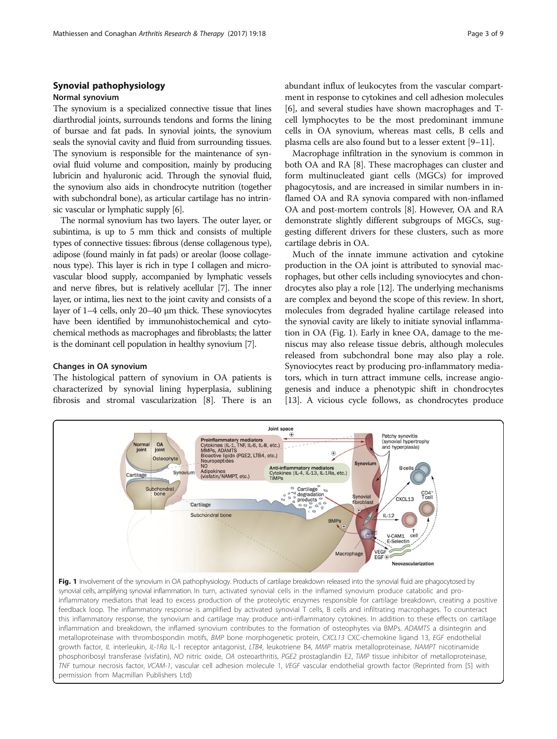# Synovial pathophysiology

## Normal synovium

The synovium is a specialized connective tissue that lines diarthrodial joints, surrounds tendons and forms the lining of bursae and fat pads. In synovial joints, the synovium seals the synovial cavity and fluid from surrounding tissues. The synovium is responsible for the maintenance of synovial fluid volume and composition, mainly by producing lubricin and hyaluronic acid. Through the synovial fluid, the synovium also aids in chondrocyte nutrition (together with subchondral bone), as articular cartilage has no intrinsic vascular or lymphatic supply [\[6\]](#page-7-0).

The normal synovium has two layers. The outer layer, or subintima, is up to 5 mm thick and consists of multiple types of connective tissues: fibrous (dense collagenous type), adipose (found mainly in fat pads) or areolar (loose collagenous type). This layer is rich in type I collagen and microvascular blood supply, accompanied by lymphatic vessels and nerve fibres, but is relatively acellular [\[7\]](#page-7-0). The inner layer, or intima, lies next to the joint cavity and consists of a layer of 1–4 cells, only 20–40 μm thick. These synoviocytes have been identified by immunohistochemical and cytochemical methods as macrophages and fibroblasts; the latter is the dominant cell population in healthy synovium [[7](#page-7-0)].

## Changes in OA synovium

The histological pattern of synovium in OA patients is characterized by synovial lining hyperplasia, sublining fibrosis and stromal vascularization [\[8](#page-7-0)]. There is an abundant influx of leukocytes from the vascular compartment in response to cytokines and cell adhesion molecules [[6\]](#page-7-0), and several studies have shown macrophages and Tcell lymphocytes to be the most predominant immune cells in OA synovium, whereas mast cells, B cells and plasma cells are also found but to a lesser extent [\[9](#page-7-0)–[11\]](#page-7-0).

Macrophage infiltration in the synovium is common in both OA and RA [\[8\]](#page-7-0). These macrophages can cluster and form multinucleated giant cells (MGCs) for improved phagocytosis, and are increased in similar numbers in inflamed OA and RA synovia compared with non-inflamed OA and post-mortem controls [\[8](#page-7-0)]. However, OA and RA demonstrate slightly different subgroups of MGCs, suggesting different drivers for these clusters, such as more cartilage debris in OA.

Much of the innate immune activation and cytokine production in the OA joint is attributed to synovial macrophages, but other cells including synoviocytes and chondrocytes also play a role [[12\]](#page-7-0). The underlying mechanisms are complex and beyond the scope of this review. In short, molecules from degraded hyaline cartilage released into the synovial cavity are likely to initiate synovial inflammation in OA (Fig. 1). Early in knee OA, damage to the meniscus may also release tissue debris, although molecules released from subchondral bone may also play a role. Synoviocytes react by producing pro-inflammatory mediators, which in turn attract immune cells, increase angiogenesis and induce a phenotypic shift in chondrocytes [[13](#page-7-0)]. A vicious cycle follows, as chondrocytes produce

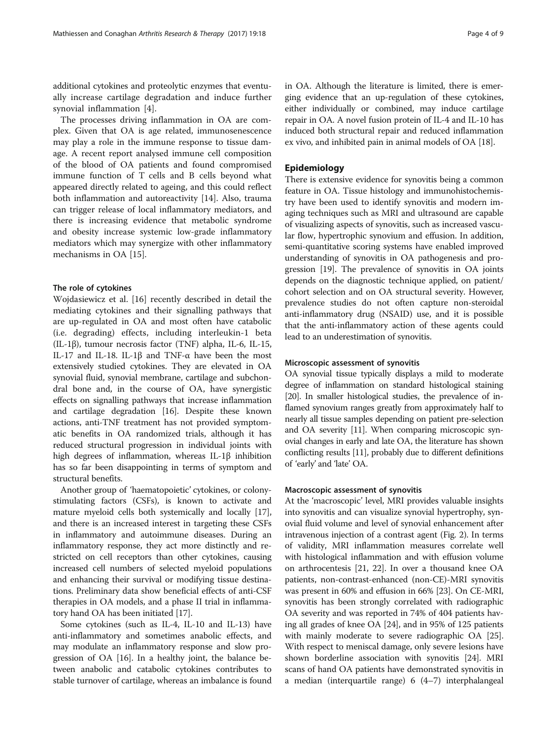additional cytokines and proteolytic enzymes that eventually increase cartilage degradation and induce further synovial inflammation [[4](#page-7-0)].

The processes driving inflammation in OA are complex. Given that OA is age related, immunosenescence may play a role in the immune response to tissue damage. A recent report analysed immune cell composition of the blood of OA patients and found compromised immune function of T cells and B cells beyond what appeared directly related to ageing, and this could reflect both inflammation and autoreactivity [\[14](#page-7-0)]. Also, trauma can trigger release of local inflammatory mediators, and there is increasing evidence that metabolic syndrome and obesity increase systemic low-grade inflammatory mediators which may synergize with other inflammatory mechanisms in OA [[15\]](#page-7-0).

## The role of cytokines

Wojdasiewicz et al. [\[16\]](#page-7-0) recently described in detail the mediating cytokines and their signalling pathways that are up-regulated in OA and most often have catabolic (i.e. degrading) effects, including interleukin-1 beta (IL-1β), tumour necrosis factor (TNF) alpha, IL-6, IL-15, IL-17 and IL-18. IL-1β and TNF-α have been the most extensively studied cytokines. They are elevated in OA synovial fluid, synovial membrane, cartilage and subchondral bone and, in the course of OA, have synergistic effects on signalling pathways that increase inflammation and cartilage degradation [\[16](#page-7-0)]. Despite these known actions, anti-TNF treatment has not provided symptomatic benefits in OA randomized trials, although it has reduced structural progression in individual joints with high degrees of inflammation, whereas IL-1β inhibition has so far been disappointing in terms of symptom and structural benefits.

Another group of 'haematopoietic' cytokines, or colonystimulating factors (CSFs), is known to activate and mature myeloid cells both systemically and locally [[17](#page-7-0)], and there is an increased interest in targeting these CSFs in inflammatory and autoimmune diseases. During an inflammatory response, they act more distinctly and restricted on cell receptors than other cytokines, causing increased cell numbers of selected myeloid populations and enhancing their survival or modifying tissue destinations. Preliminary data show beneficial effects of anti-CSF therapies in OA models, and a phase II trial in inflammatory hand OA has been initiated [\[17\]](#page-7-0).

Some cytokines (such as IL-4, IL-10 and IL-13) have anti-inflammatory and sometimes anabolic effects, and may modulate an inflammatory response and slow progression of OA [[16](#page-7-0)]. In a healthy joint, the balance between anabolic and catabolic cytokines contributes to stable turnover of cartilage, whereas an imbalance is found in OA. Although the literature is limited, there is emerging evidence that an up-regulation of these cytokines, either individually or combined, may induce cartilage repair in OA. A novel fusion protein of IL-4 and IL-10 has induced both structural repair and reduced inflammation ex vivo, and inhibited pain in animal models of OA [[18](#page-7-0)].

# Epidemiology

There is extensive evidence for synovitis being a common feature in OA. Tissue histology and immunohistochemistry have been used to identify synovitis and modern imaging techniques such as MRI and ultrasound are capable of visualizing aspects of synovitis, such as increased vascular flow, hypertrophic synovium and effusion. In addition, semi-quantitative scoring systems have enabled improved understanding of synovitis in OA pathogenesis and progression [\[19\]](#page-7-0). The prevalence of synovitis in OA joints depends on the diagnostic technique applied, on patient/ cohort selection and on OA structural severity. However, prevalence studies do not often capture non-steroidal anti-inflammatory drug (NSAID) use, and it is possible that the anti-inflammatory action of these agents could lead to an underestimation of synovitis.

## Microscopic assessment of synovitis

OA synovial tissue typically displays a mild to moderate degree of inflammation on standard histological staining [[20](#page-7-0)]. In smaller histological studies, the prevalence of inflamed synovium ranges greatly from approximately half to nearly all tissue samples depending on patient pre-selection and OA severity [\[11](#page-7-0)]. When comparing microscopic synovial changes in early and late OA, the literature has shown conflicting results [\[11](#page-7-0)], probably due to different definitions of 'early' and 'late' OA.

## Macroscopic assessment of synovitis

At the 'macroscopic' level, MRI provides valuable insights into synovitis and can visualize synovial hypertrophy, synovial fluid volume and level of synovial enhancement after intravenous injection of a contrast agent (Fig. [2](#page-4-0)). In terms of validity, MRI inflammation measures correlate well with histological inflammation and with effusion volume on arthrocentesis [[21](#page-7-0), [22\]](#page-7-0). In over a thousand knee OA patients, non-contrast-enhanced (non-CE)-MRI synovitis was present in 60% and effusion in 66% [\[23](#page-8-0)]. On CE-MRI, synovitis has been strongly correlated with radiographic OA severity and was reported in 74% of 404 patients having all grades of knee OA [[24](#page-8-0)], and in 95% of 125 patients with mainly moderate to severe radiographic OA [[25](#page-8-0)]. With respect to meniscal damage, only severe lesions have shown borderline association with synovitis [[24](#page-8-0)]. MRI scans of hand OA patients have demonstrated synovitis in a median (interquartile range) 6 (4–7) interphalangeal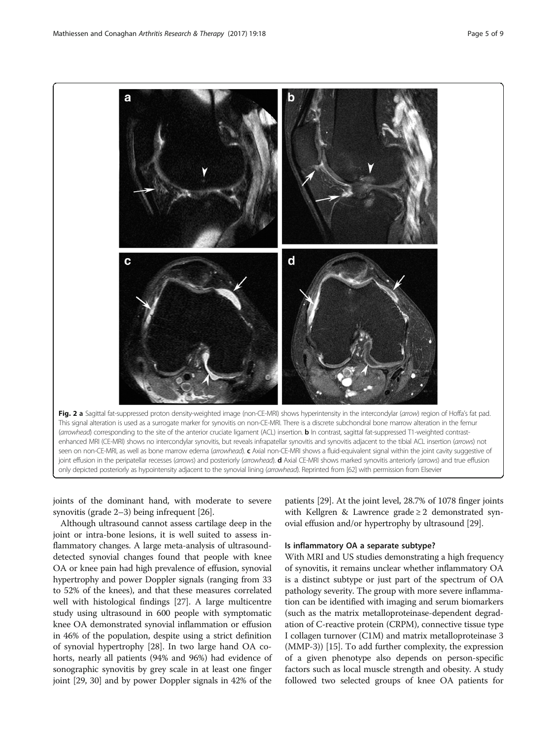<span id="page-4-0"></span>

joints of the dominant hand, with moderate to severe synovitis (grade 2–3) being infrequent [\[26](#page-8-0)].

Although ultrasound cannot assess cartilage deep in the joint or intra-bone lesions, it is well suited to assess inflammatory changes. A large meta-analysis of ultrasounddetected synovial changes found that people with knee OA or knee pain had high prevalence of effusion, synovial hypertrophy and power Doppler signals (ranging from 33 to 52% of the knees), and that these measures correlated well with histological findings [\[27\]](#page-8-0). A large multicentre study using ultrasound in 600 people with symptomatic knee OA demonstrated synovial inflammation or effusion in 46% of the population, despite using a strict definition of synovial hypertrophy [\[28\]](#page-8-0). In two large hand OA cohorts, nearly all patients (94% and 96%) had evidence of sonographic synovitis by grey scale in at least one finger joint [\[29, 30\]](#page-8-0) and by power Doppler signals in 42% of the

patients [\[29\]](#page-8-0). At the joint level, 28.7% of 1078 finger joints with Kellgren & Lawrence grade  $\geq 2$  demonstrated synovial effusion and/or hypertrophy by ultrasound [\[29\]](#page-8-0).

# Is inflammatory OA a separate subtype?

With MRI and US studies demonstrating a high frequency of synovitis, it remains unclear whether inflammatory OA is a distinct subtype or just part of the spectrum of OA pathology severity. The group with more severe inflammation can be identified with imaging and serum biomarkers (such as the matrix metalloproteinase-dependent degradation of C-reactive protein (CRPM), connective tissue type I collagen turnover (C1M) and matrix metalloproteinase 3 (MMP-3)) [[15](#page-7-0)]. To add further complexity, the expression of a given phenotype also depends on person-specific factors such as local muscle strength and obesity. A study followed two selected groups of knee OA patients for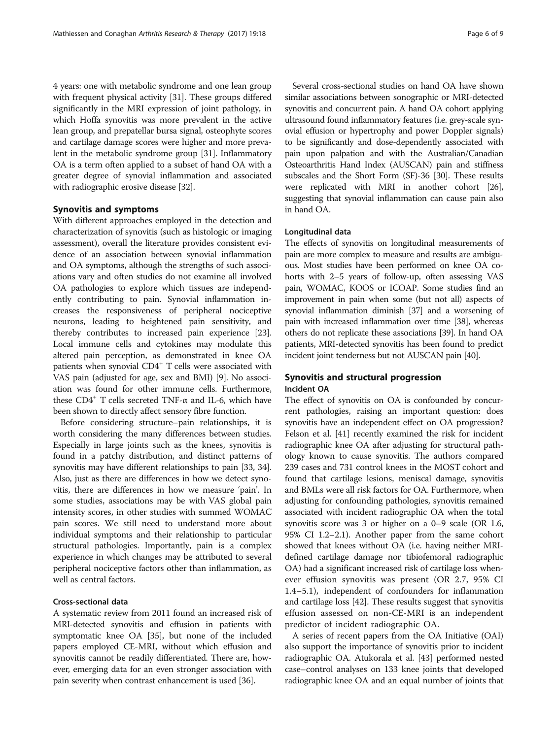4 years: one with metabolic syndrome and one lean group with frequent physical activity [\[31\]](#page-8-0). These groups differed significantly in the MRI expression of joint pathology, in which Hoffa synovitis was more prevalent in the active lean group, and prepatellar bursa signal, osteophyte scores and cartilage damage scores were higher and more prevalent in the metabolic syndrome group [[31](#page-8-0)]. Inflammatory OA is a term often applied to a subset of hand OA with a greater degree of synovial inflammation and associated with radiographic erosive disease [[32](#page-8-0)].

# Synovitis and symptoms

With different approaches employed in the detection and characterization of synovitis (such as histologic or imaging assessment), overall the literature provides consistent evidence of an association between synovial inflammation and OA symptoms, although the strengths of such associations vary and often studies do not examine all involved OA pathologies to explore which tissues are independently contributing to pain. Synovial inflammation increases the responsiveness of peripheral nociceptive neurons, leading to heightened pain sensitivity, and thereby contributes to increased pain experience [[23](#page-8-0)]. Local immune cells and cytokines may modulate this altered pain perception, as demonstrated in knee OA patients when synovial CD4<sup>+</sup> T cells were associated with VAS pain (adjusted for age, sex and BMI) [\[9\]](#page-7-0). No association was found for other immune cells. Furthermore, these  $CD4^+$  T cells secreted TNF-α and IL-6, which have been shown to directly affect sensory fibre function.

Before considering structure–pain relationships, it is worth considering the many differences between studies. Especially in large joints such as the knees, synovitis is found in a patchy distribution, and distinct patterns of synovitis may have different relationships to pain [[33](#page-8-0), [34](#page-8-0)]. Also, just as there are differences in how we detect synovitis, there are differences in how we measure 'pain'. In some studies, associations may be with VAS global pain intensity scores, in other studies with summed WOMAC pain scores. We still need to understand more about individual symptoms and their relationship to particular structural pathologies. Importantly, pain is a complex experience in which changes may be attributed to several peripheral nociceptive factors other than inflammation, as well as central factors.

# Cross-sectional data

A systematic review from 2011 found an increased risk of MRI-detected synovitis and effusion in patients with symptomatic knee OA [[35](#page-8-0)], but none of the included papers employed CE-MRI, without which effusion and synovitis cannot be readily differentiated. There are, however, emerging data for an even stronger association with pain severity when contrast enhancement is used [\[36\]](#page-8-0).

Several cross-sectional studies on hand OA have shown similar associations between sonographic or MRI-detected synovitis and concurrent pain. A hand OA cohort applying ultrasound found inflammatory features (i.e. grey-scale synovial effusion or hypertrophy and power Doppler signals) to be significantly and dose-dependently associated with pain upon palpation and with the Australian/Canadian Osteoarthritis Hand Index (AUSCAN) pain and stiffness subscales and the Short Form (SF)-36 [[30](#page-8-0)]. These results were replicated with MRI in another cohort [\[26](#page-8-0)], suggesting that synovial inflammation can cause pain also in hand OA.

## Longitudinal data

The effects of synovitis on longitudinal measurements of pain are more complex to measure and results are ambiguous. Most studies have been performed on knee OA cohorts with 2–5 years of follow-up, often assessing VAS pain, WOMAC, KOOS or ICOAP. Some studies find an improvement in pain when some (but not all) aspects of synovial inflammation diminish [\[37\]](#page-8-0) and a worsening of pain with increased inflammation over time [[38\]](#page-8-0), whereas others do not replicate these associations [[39](#page-8-0)]. In hand OA patients, MRI-detected synovitis has been found to predict incident joint tenderness but not AUSCAN pain [\[40\]](#page-8-0).

# Synovitis and structural progression Incident OA

The effect of synovitis on OA is confounded by concurrent pathologies, raising an important question: does synovitis have an independent effect on OA progression? Felson et al. [\[41\]](#page-8-0) recently examined the risk for incident radiographic knee OA after adjusting for structural pathology known to cause synovitis. The authors compared 239 cases and 731 control knees in the MOST cohort and found that cartilage lesions, meniscal damage, synovitis and BMLs were all risk factors for OA. Furthermore, when adjusting for confounding pathologies, synovitis remained associated with incident radiographic OA when the total synovitis score was 3 or higher on a 0–9 scale (OR 1.6, 95% CI 1.2–2.1). Another paper from the same cohort showed that knees without OA (i.e. having neither MRIdefined cartilage damage nor tibiofemoral radiographic OA) had a significant increased risk of cartilage loss whenever effusion synovitis was present (OR 2.7, 95% CI 1.4–5.1), independent of confounders for inflammation and cartilage loss [[42](#page-8-0)]. These results suggest that synovitis effusion assessed on non-CE-MRI is an independent predictor of incident radiographic OA.

A series of recent papers from the OA Initiative (OAI) also support the importance of synovitis prior to incident radiographic OA. Atukorala et al. [\[43\]](#page-8-0) performed nested case–control analyses on 133 knee joints that developed radiographic knee OA and an equal number of joints that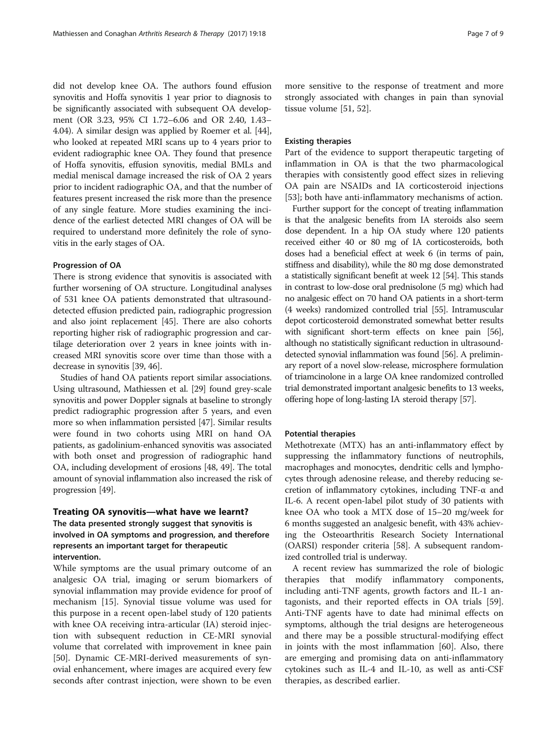did not develop knee OA. The authors found effusion synovitis and Hoffa synovitis 1 year prior to diagnosis to be significantly associated with subsequent OA development (OR 3.23, 95% CI 1.72–6.06 and OR 2.40, 1.43– 4.04). A similar design was applied by Roemer et al. [[44](#page-8-0)], who looked at repeated MRI scans up to 4 years prior to evident radiographic knee OA. They found that presence of Hoffa synovitis, effusion synovitis, medial BMLs and medial meniscal damage increased the risk of OA 2 years prior to incident radiographic OA, and that the number of features present increased the risk more than the presence of any single feature. More studies examining the incidence of the earliest detected MRI changes of OA will be required to understand more definitely the role of synovitis in the early stages of OA.

## Progression of OA

There is strong evidence that synovitis is associated with further worsening of OA structure. Longitudinal analyses of 531 knee OA patients demonstrated that ultrasounddetected effusion predicted pain, radiographic progression and also joint replacement [[45](#page-8-0)]. There are also cohorts reporting higher risk of radiographic progression and cartilage deterioration over 2 years in knee joints with increased MRI synovitis score over time than those with a decrease in synovitis [\[39, 46](#page-8-0)].

Studies of hand OA patients report similar associations. Using ultrasound, Mathiessen et al. [[29](#page-8-0)] found grey-scale synovitis and power Doppler signals at baseline to strongly predict radiographic progression after 5 years, and even more so when inflammation persisted [\[47\]](#page-8-0). Similar results were found in two cohorts using MRI on hand OA patients, as gadolinium-enhanced synovitis was associated with both onset and progression of radiographic hand OA, including development of erosions [\[48, 49\]](#page-8-0). The total amount of synovial inflammation also increased the risk of progression [[49](#page-8-0)].

## Treating OA synovitis—what have we learnt?

# The data presented strongly suggest that synovitis is involved in OA symptoms and progression, and therefore represents an important target for therapeutic intervention.

While symptoms are the usual primary outcome of an analgesic OA trial, imaging or serum biomarkers of synovial inflammation may provide evidence for proof of mechanism [[15\]](#page-7-0). Synovial tissue volume was used for this purpose in a recent open-label study of 120 patients with knee OA receiving intra-articular (IA) steroid injection with subsequent reduction in CE-MRI synovial volume that correlated with improvement in knee pain [[50\]](#page-8-0). Dynamic CE-MRI-derived measurements of synovial enhancement, where images are acquired every few seconds after contrast injection, were shown to be even

more sensitive to the response of treatment and more strongly associated with changes in pain than synovial tissue volume [[51, 52\]](#page-8-0).

## Existing therapies

Part of the evidence to support therapeutic targeting of inflammation in OA is that the two pharmacological therapies with consistently good effect sizes in relieving OA pain are NSAIDs and IA corticosteroid injections [[53\]](#page-8-0); both have anti-inflammatory mechanisms of action.

Further support for the concept of treating inflammation is that the analgesic benefits from IA steroids also seem dose dependent. In a hip OA study where 120 patients received either 40 or 80 mg of IA corticosteroids, both doses had a beneficial effect at week 6 (in terms of pain, stiffness and disability), while the 80 mg dose demonstrated a statistically significant benefit at week 12 [[54\]](#page-8-0). This stands in contrast to low-dose oral prednisolone (5 mg) which had no analgesic effect on 70 hand OA patients in a short-term (4 weeks) randomized controlled trial [[55](#page-8-0)]. Intramuscular depot corticosteroid demonstrated somewhat better results with significant short-term effects on knee pain [\[56](#page-8-0)], although no statistically significant reduction in ultrasounddetected synovial inflammation was found [\[56\]](#page-8-0). A preliminary report of a novel slow-release, microsphere formulation of triamcinolone in a large OA knee randomized controlled trial demonstrated important analgesic benefits to 13 weeks, offering hope of long-lasting IA steroid therapy [[57](#page-8-0)].

## Potential therapies

Methotrexate (MTX) has an anti-inflammatory effect by suppressing the inflammatory functions of neutrophils, macrophages and monocytes, dendritic cells and lymphocytes through adenosine release, and thereby reducing secretion of inflammatory cytokines, including TNF-α and IL-6. A recent open-label pilot study of 30 patients with knee OA who took a MTX dose of 15–20 mg/week for 6 months suggested an analgesic benefit, with 43% achieving the Osteoarthritis Research Society International (OARSI) responder criteria [[58](#page-8-0)]. A subsequent randomized controlled trial is underway.

A recent review has summarized the role of biologic therapies that modify inflammatory components, including anti-TNF agents, growth factors and IL-1 antagonists, and their reported effects in OA trials [\[59](#page-8-0)]. Anti-TNF agents have to date had minimal effects on symptoms, although the trial designs are heterogeneous and there may be a possible structural-modifying effect in joints with the most inflammation [[60](#page-8-0)]. Also, there are emerging and promising data on anti-inflammatory cytokines such as IL-4 and IL-10, as well as anti-CSF therapies, as described earlier.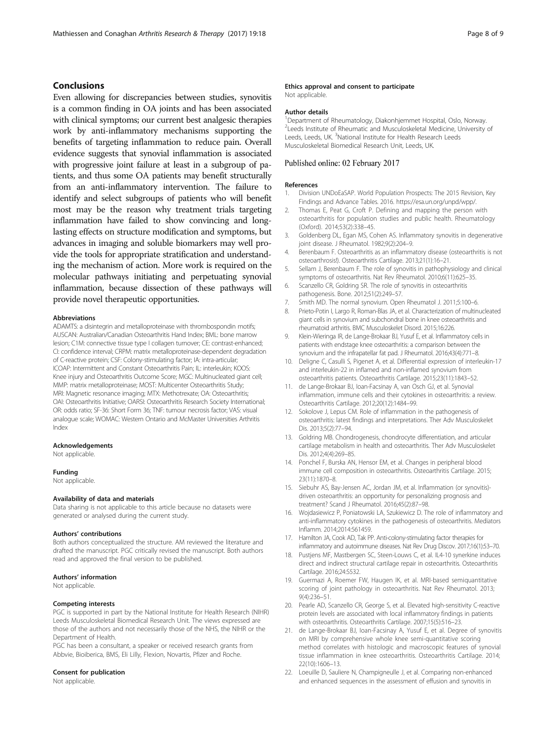# <span id="page-7-0"></span>Conclusions

Even allowing for discrepancies between studies, synovitis is a common finding in OA joints and has been associated with clinical symptoms; our current best analgesic therapies work by anti-inflammatory mechanisms supporting the benefits of targeting inflammation to reduce pain. Overall evidence suggests that synovial inflammation is associated with progressive joint failure at least in a subgroup of patients, and thus some OA patients may benefit structurally from an anti-inflammatory intervention. The failure to identify and select subgroups of patients who will benefit most may be the reason why treatment trials targeting inflammation have failed to show convincing and longlasting effects on structure modification and symptoms, but advances in imaging and soluble biomarkers may well provide the tools for appropriate stratification and understanding the mechanism of action. More work is required on the molecular pathways initiating and perpetuating synovial inflammation, because dissection of these pathways will provide novel therapeutic opportunities.

#### Abbreviations

ADAMTS: a disintegrin and metalloproteinase with thrombospondin motifs; AUSCAN: Australian/Canadian Osteoarthritis Hand Index; BML: bone marrow lesion; C1M: connective tissue type I collagen turnover; CE: contrast-enhanced; CI: confidence interval; CRPM: matrix metalloproteinase-dependent degradation of C-reactive protein; CSF: Colony-stimulating factor; IA: intra-articular; ICOAP: Intermittent and Constant Osteoarthritis Pain; IL: interleukin; KOOS: Knee injury and Osteoarthritis Outcome Score; MGC: Multinucleated giant cell; MMP: matrix metalloproteinase; MOST: Multicenter Osteoarthritis Study; MRI: Magnetic resonance imaging; MTX: Methotrexate; OA: Osteoarthritis; OAI: Osteoarthritis Initiative; OARSI: Osteoarthritis Research Society International; OR: odds ratio; SF-36: Short Form 36; TNF: tumour necrosis factor; VAS: visual analogue scale; WOMAC: Western Ontario and McMaster Universities Arthritis Index

## Acknowledgements

Not applicable.

#### Funding

Not applicable.

## Availability of data and materials

Data sharing is not applicable to this article because no datasets were generated or analysed during the current study.

#### Authors' contributions

Both authors conceptualized the structure. AM reviewed the literature and drafted the manuscript. PGC critically revised the manuscript. Both authors read and approved the final version to be published.

#### Authors' information

Not applicable.

#### Competing interests

PGC is supported in part by the National Institute for Health Research (NIHR) Leeds Musculoskeletal Biomedical Research Unit. The views expressed are those of the authors and not necessarily those of the NHS, the NIHR or the Department of Health.

PGC has been a consultant, a speaker or received research grants from Abbvie, Bioiberica, BMS, Eli Lilly, Flexion, Novartis, Pfizer and Roche.

## Consent for publication

Not applicable.

Not applicable.

## Author details

1 Department of Rheumatology, Diakonhjemmet Hospital, Oslo, Norway. <sup>2</sup> Leeds Institute of Rheumatic and Musculoskeletal Medicine, University of Leeds, Leeds, UK.<sup>3</sup> National Institute for Health Research Leeds Musculoskeletal Biomedical Research Unit, Leeds, UK.

## Published online: 02 February 2017

#### References

- 1. Division UNDoEaSAP. World Population Prospects: The 2015 Revision, Key Findings and Advance Tables. 2016. [https://esa.un.org/unpd/wpp/.](https://esa.un.org/unpd/wpp/)
- 2. Thomas E, Peat G, Croft P. Defining and mapping the person with osteoarthritis for population studies and public health. Rheumatology (Oxford). 2014;53(2):338–45.
- 3. Goldenberg DL, Egan MS, Cohen AS. Inflammatory synovitis in degenerative joint disease. J Rheumatol. 1982;9(2):204–9.
- 4. Berenbaum F. Osteoarthritis as an inflammatory disease (osteoarthritis is not osteoarthrosis!). Osteoarthritis Cartilage. 2013;21(1):16–21.
- 5. Sellam J, Berenbaum F. The role of synovitis in pathophysiology and clinical symptoms of osteoarthritis. Nat Rev Rheumatol. 2010;6(11):625–35.
- 6. Scanzello CR, Goldring SR. The role of synovitis in osteoarthritis pathogenesis. Bone. 2012;51(2):249–57.
- 7. Smith MD. The normal synovium. Open Rheumatol J. 2011;5:100–6.
- 8. Prieto-Potin I, Largo R, Roman-Blas JA, et al. Characterization of multinucleated giant cells in synovium and subchondral bone in knee osteoarthritis and rheumatoid arthritis. BMC Musculoskelet Disord. 2015;16:226.
- 9. Klein-Wieringa IR, de Lange-Brokaar BJ, Yusuf E, et al. Inflammatory cells in patients with endstage knee osteoarthritis: a comparison between the synovium and the infrapatellar fat pad. J Rheumatol. 2016;43(4):771–8.
- 10. Deligne C, Casulli S, Pigenet A, et al. Differential expression of interleukin-17 and interleukin-22 in inflamed and non-inflamed synovium from osteoarthritis patients. Osteoarthritis Cartilage. 2015;23(11):1843–52.
- 11. de Lange-Brokaar BJ, Ioan-Facsinay A, van Osch GJ, et al. Synovial inflammation, immune cells and their cytokines in osteoarthritis: a review. Osteoarthritis Cartilage. 2012;20(12):1484–99.
- 12. Sokolove J, Lepus CM. Role of inflammation in the pathogenesis of osteoarthritis: latest findings and interpretations. Ther Adv Musculoskelet Dis. 2013;5(2):77–94.
- 13. Goldring MB. Chondrogenesis, chondrocyte differentiation, and articular cartilage metabolism in health and osteoarthritis. Ther Adv Musculoskelet Dis. 2012;4(4):269–85.
- 14. Ponchel F, Burska AN, Hensor EM, et al. Changes in peripheral blood immune cell composition in osteoarthritis. Osteoarthritis Cartilage. 2015; 23(11):1870–8.
- 15. Siebuhr AS, Bay-Jensen AC, Jordan JM, et al. Inflammation (or synovitis) driven osteoarthritis: an opportunity for personalizing prognosis and treatment? Scand J Rheumatol. 2016;45(2):87–98.
- 16. Wojdasiewicz P, Poniatowski LA, Szukiewicz D. The role of inflammatory and anti-inflammatory cytokines in the pathogenesis of osteoarthritis. Mediators Inflamm. 2014;2014:561459.
- 17. Hamilton JA, Cook AD, Tak PP. Anti-colony-stimulating factor therapies for inflammatory and autoimmune diseases. Nat Rev Drug Discov. 2017;16(1):53–70.
- 18. Pustjens MF, Mastbergen SC, Steen-Louws C, et al. IL4-10 synerkine induces direct and indirect structural cartilage repair in osteoarthritis. Osteoarthritis Cartilage. 2016;24:S532.
- 19. Guermazi A, Roemer FW, Haugen IK, et al. MRI-based semiquantitative scoring of joint pathology in osteoarthritis. Nat Rev Rheumatol. 2013; 9(4):236–51.
- 20. Pearle AD, Scanzello CR, George S, et al. Elevated high-sensitivity C-reactive protein levels are associated with local inflammatory findings in patients with osteoarthritis. Osteoarthritis Cartilage. 2007;15(5):516–23.
- 21. de Lange-Brokaar BJ, Ioan-Facsinay A, Yusuf E, et al. Degree of synovitis on MRI by comprehensive whole knee semi-quantitative scoring method correlates with histologic and macroscopic features of synovial tissue inflammation in knee osteoarthritis. Osteoarthritis Cartilage. 2014; 22(10):1606–13.
- 22. Loeuille D, Sauliere N, Champigneulle J, et al. Comparing non-enhanced and enhanced sequences in the assessment of effusion and synovitis in